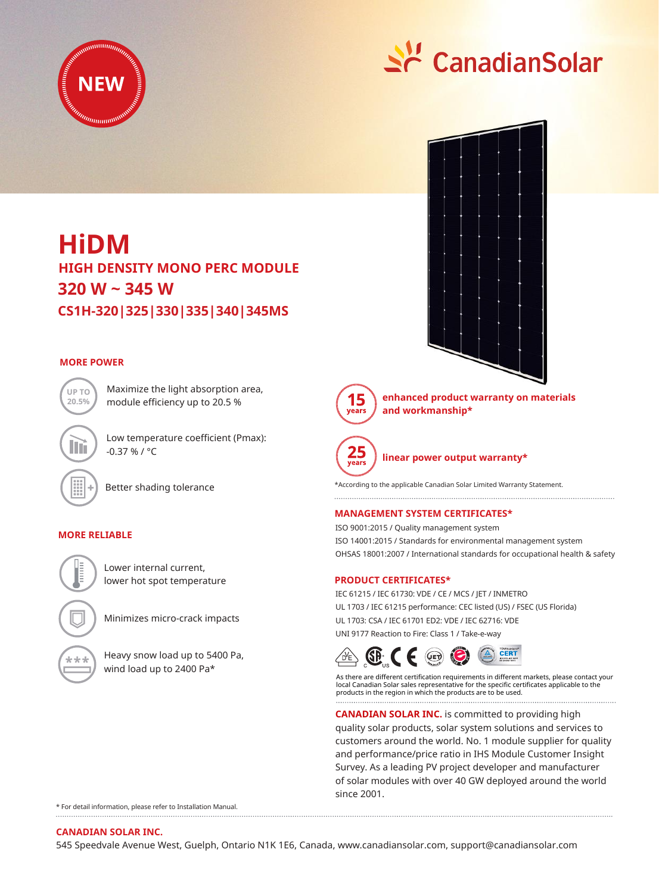



# **HIGH DENSITY MONO PERC MODULE HiDM 320 W ~ 345 W CS1H-320|325|330|335|340|345MS**

Maximize the light absorption area, module efficiency up to 20.5 %

Low temperature coefficient (Pmax):

# **MORE POWER**



Better shading tolerance

 $-0.37 \% / °C$ 

## **MORE RELIABLE**



\*\*\*

Lower internal current, lower hot spot temperature

Minimizes micro-crack impacts

Heavy snow load up to 5400 Pa, wind load up to 2400 Pa\*

15 **rears** 

**enhanced product warranty on materials and workmanship\***



**linear power output warranty\***

\*According to the applicable Canadian Solar Limited Warranty Statement.

## **MANAGEMENT SYSTEM CERTIFICATES\***

ISO 9001:2015 / Quality management system ISO 14001:2015 / Standards for environmental management system OHSAS 18001:2007 / International standards for occupational health & safety

### **PRODUCT CERTIFICATES\***

IEC 61215 / IEC 61730: VDE / CE / MCS / JET / INMETRO UL 1703 / IEC 61215 performance: CEC listed (US) / FSEC (US Florida) UL 1703: CSA / IEC 61701 ED2: VDE / IEC 62716: VDE UNI 9177 Reaction to Fire: Class 1 / Take-e-way



As there are different certification requirements in different markets, please contact your local Canadian Solar sales representative for the specific certificates applicable to the products in the region in which the products are to be used.

**CANADIAN SOLAR INC.** is committed to providing high quality solar products, solar system solutions and services to customers around the world. No. 1 module supplier for quality and performance/price ratio in IHS Module Customer Insight Survey. As a leading PV project developer and manufacturer of solar modules with over 40 GW deployed around the world since 2001.

\* For detail information, please refer to Installation Manual.

#### **CANADIAN SOLAR INC.**